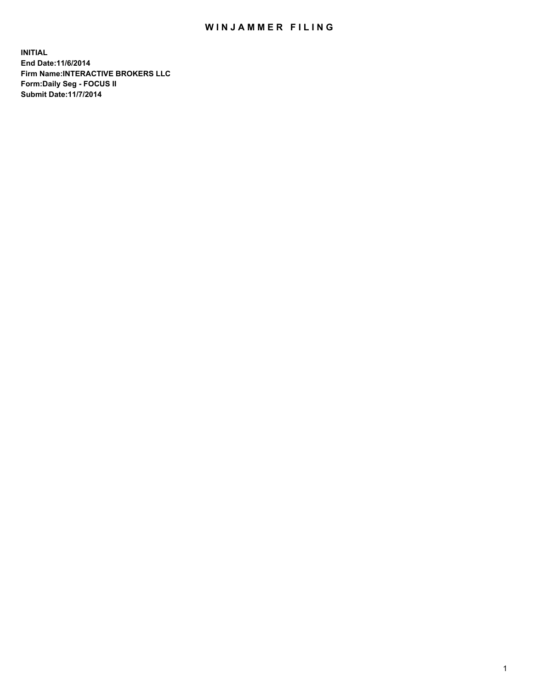## WIN JAMMER FILING

**INITIAL End Date:11/6/2014 Firm Name:INTERACTIVE BROKERS LLC Form:Daily Seg - FOCUS II Submit Date:11/7/2014**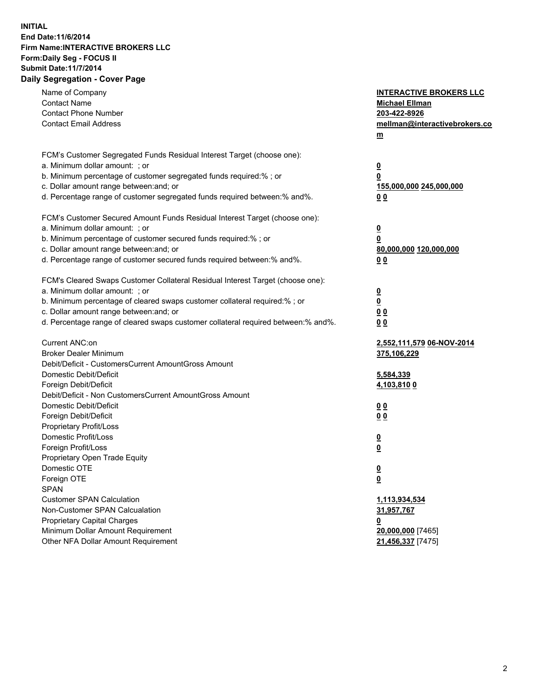## **INITIAL End Date:11/6/2014 Firm Name:INTERACTIVE BROKERS LLC Form:Daily Seg - FOCUS II Submit Date:11/7/2014 Daily Segregation - Cover Page**

| Name of Company                                                                   | <b>INTERACTIVE BROKERS LLC</b> |
|-----------------------------------------------------------------------------------|--------------------------------|
| <b>Contact Name</b>                                                               | <b>Michael Ellman</b>          |
| <b>Contact Phone Number</b>                                                       | 203-422-8926                   |
| <b>Contact Email Address</b>                                                      | mellman@interactivebrokers.co  |
|                                                                                   | $\underline{\mathbf{m}}$       |
| FCM's Customer Segregated Funds Residual Interest Target (choose one):            |                                |
| a. Minimum dollar amount: ; or                                                    | $\overline{\mathbf{0}}$        |
| b. Minimum percentage of customer segregated funds required:% ; or                | 0                              |
| c. Dollar amount range between: and; or                                           | 155,000,000 245,000,000        |
| d. Percentage range of customer segregated funds required between:% and%.         | 00                             |
| FCM's Customer Secured Amount Funds Residual Interest Target (choose one):        |                                |
| a. Minimum dollar amount: ; or                                                    | $\overline{\mathbf{0}}$        |
| b. Minimum percentage of customer secured funds required:% ; or                   | 0                              |
| c. Dollar amount range between: and; or                                           | 80,000,000 120,000,000         |
| d. Percentage range of customer secured funds required between:% and%.            | 00                             |
|                                                                                   |                                |
| FCM's Cleared Swaps Customer Collateral Residual Interest Target (choose one):    |                                |
| a. Minimum dollar amount: ; or                                                    | $\overline{\mathbf{0}}$        |
| b. Minimum percentage of cleared swaps customer collateral required:% ; or        | $\underline{\mathbf{0}}$       |
| c. Dollar amount range between: and; or                                           | 0 <sub>0</sub>                 |
| d. Percentage range of cleared swaps customer collateral required between:% and%. | 0 <sub>0</sub>                 |
|                                                                                   |                                |
| Current ANC:on                                                                    | 2,552,111,579 06-NOV-2014      |
| <b>Broker Dealer Minimum</b>                                                      | 375,106,229                    |
| Debit/Deficit - CustomersCurrent AmountGross Amount                               |                                |
| Domestic Debit/Deficit                                                            | 5,584,339                      |
| Foreign Debit/Deficit<br>Debit/Deficit - Non CustomersCurrent AmountGross Amount  | <u>4,103,810 0</u>             |
|                                                                                   |                                |
| Domestic Debit/Deficit                                                            | 0 <sub>0</sub>                 |
| Foreign Debit/Deficit<br>Proprietary Profit/Loss                                  | 0 <sub>0</sub>                 |
| Domestic Profit/Loss                                                              |                                |
| Foreign Profit/Loss                                                               | $\overline{\mathbf{0}}$        |
| Proprietary Open Trade Equity                                                     | $\underline{\mathbf{0}}$       |
| Domestic OTE                                                                      |                                |
| Foreign OTE                                                                       | <u>0</u>                       |
| <b>SPAN</b>                                                                       | <u>0</u>                       |
| <b>Customer SPAN Calculation</b>                                                  | 1,113,934,534                  |
| Non-Customer SPAN Calcualation                                                    | 31,957,767                     |
| Proprietary Capital Charges                                                       | <u>0</u>                       |
| Minimum Dollar Amount Requirement                                                 | 20,000,000 [7465]              |
| Other NFA Dollar Amount Requirement                                               | 21,456,337 [7475]              |
|                                                                                   |                                |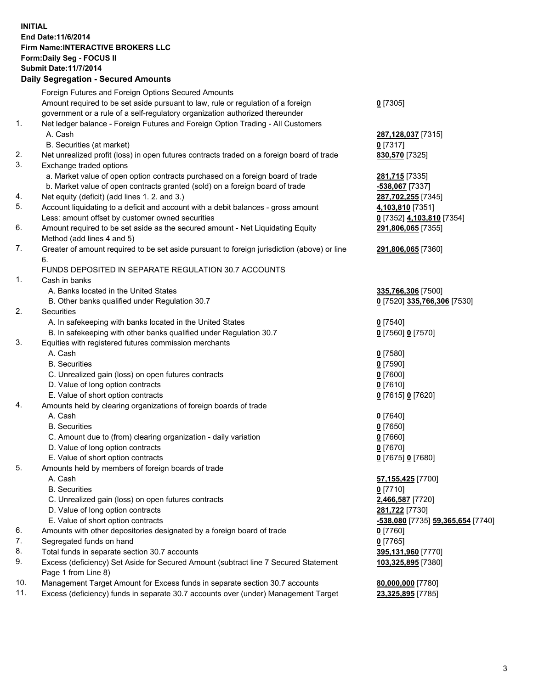## **INITIAL End Date:11/6/2014 Firm Name:INTERACTIVE BROKERS LLC Form:Daily Seg - FOCUS II Submit Date:11/7/2014 Daily Segregation - Secured Amounts**

|     | Dany Ocgregation - Oceanea Annoanta                                                                        |                                   |
|-----|------------------------------------------------------------------------------------------------------------|-----------------------------------|
|     | Foreign Futures and Foreign Options Secured Amounts                                                        |                                   |
|     | Amount required to be set aside pursuant to law, rule or regulation of a foreign                           | $0$ [7305]                        |
|     | government or a rule of a self-regulatory organization authorized thereunder                               |                                   |
| 1.  | Net ledger balance - Foreign Futures and Foreign Option Trading - All Customers                            |                                   |
|     | A. Cash                                                                                                    | 287,128,037 [7315]                |
|     | B. Securities (at market)                                                                                  | $0$ [7317]                        |
| 2.  | Net unrealized profit (loss) in open futures contracts traded on a foreign board of trade                  | 830,570 [7325]                    |
| 3.  | Exchange traded options                                                                                    |                                   |
|     | a. Market value of open option contracts purchased on a foreign board of trade                             | 281,715 [7335]                    |
|     | b. Market value of open contracts granted (sold) on a foreign board of trade                               | -538,067 [7337]                   |
| 4.  | Net equity (deficit) (add lines 1.2. and 3.)                                                               | 287,702,255 [7345]                |
| 5.  | Account liquidating to a deficit and account with a debit balances - gross amount                          | 4,103,810 [7351]                  |
|     | Less: amount offset by customer owned securities                                                           | 0 [7352] 4,103,810 [7354]         |
| 6.  | Amount required to be set aside as the secured amount - Net Liquidating Equity                             | 291,806,065 [7355]                |
|     | Method (add lines 4 and 5)                                                                                 |                                   |
| 7.  | Greater of amount required to be set aside pursuant to foreign jurisdiction (above) or line                | 291,806,065 [7360]                |
|     | 6.                                                                                                         |                                   |
|     | FUNDS DEPOSITED IN SEPARATE REGULATION 30.7 ACCOUNTS                                                       |                                   |
| 1.  | Cash in banks                                                                                              |                                   |
|     | A. Banks located in the United States                                                                      | 335,766,306 [7500]                |
|     | B. Other banks qualified under Regulation 30.7                                                             | 0 [7520] 335,766,306 [7530]       |
| 2.  | Securities                                                                                                 |                                   |
|     | A. In safekeeping with banks located in the United States                                                  | $0$ [7540]                        |
|     | B. In safekeeping with other banks qualified under Regulation 30.7                                         | 0 [7560] 0 [7570]                 |
| 3.  | Equities with registered futures commission merchants                                                      |                                   |
|     | A. Cash                                                                                                    | $0$ [7580]                        |
|     | <b>B.</b> Securities                                                                                       | $0$ [7590]                        |
|     | C. Unrealized gain (loss) on open futures contracts                                                        | $0$ [7600]                        |
|     | D. Value of long option contracts                                                                          | $0$ [7610]                        |
|     | E. Value of short option contracts                                                                         | 0 [7615] 0 [7620]                 |
| 4.  | Amounts held by clearing organizations of foreign boards of trade                                          |                                   |
|     | A. Cash                                                                                                    | $0$ [7640]                        |
|     | <b>B.</b> Securities                                                                                       | $0$ [7650]                        |
|     | C. Amount due to (from) clearing organization - daily variation                                            | $0$ [7660]                        |
|     | D. Value of long option contracts                                                                          | $0$ [7670]                        |
|     | E. Value of short option contracts                                                                         | 0 [7675] 0 [7680]                 |
| 5.  | Amounts held by members of foreign boards of trade                                                         |                                   |
|     | A. Cash                                                                                                    | 57,155,425 [7700]                 |
|     | <b>B.</b> Securities                                                                                       | $0$ [7710]                        |
|     | C. Unrealized gain (loss) on open futures contracts                                                        | 2,466,587 [7720]                  |
|     | D. Value of long option contracts                                                                          | 281,722 [7730]                    |
|     | E. Value of short option contracts                                                                         | -538,080 [7735] 59,365,654 [7740] |
| 6.  | Amounts with other depositories designated by a foreign board of trade                                     | 0 [7760]                          |
| 7.  | Segregated funds on hand                                                                                   | $0$ [7765]                        |
| 8.  | Total funds in separate section 30.7 accounts                                                              | 395,131,960 [7770]                |
| 9.  | Excess (deficiency) Set Aside for Secured Amount (subtract line 7 Secured Statement<br>Page 1 from Line 8) | 103,325,895 [7380]                |
| 10. | Management Target Amount for Excess funds in separate section 30.7 accounts                                | 80,000,000 [7780]                 |
| 11. | Excess (deficiency) funds in separate 30.7 accounts over (under) Management Target                         | 23,325,895 [7785]                 |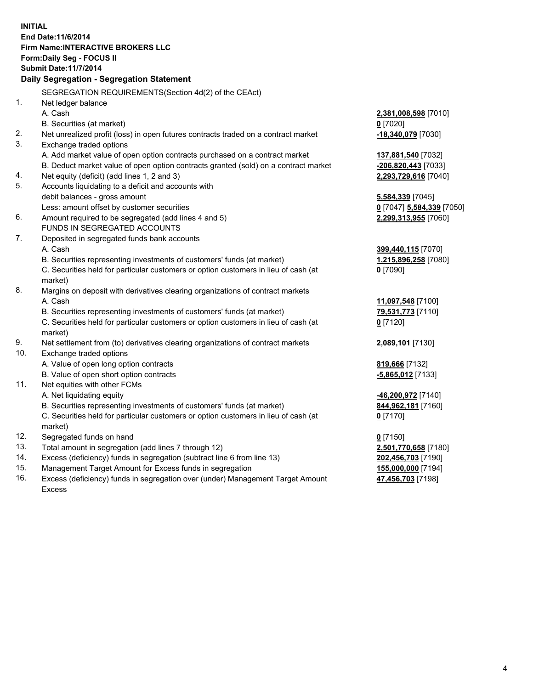**INITIAL End Date:11/6/2014 Firm Name:INTERACTIVE BROKERS LLC Form:Daily Seg - FOCUS II Submit Date:11/7/2014 Daily Segregation - Segregation Statement** SEGREGATION REQUIREMENTS(Section 4d(2) of the CEAct) 1. Net ledger balance A. Cash **2,381,008,598** [7010] B. Securities (at market) **0** [7020] 2. Net unrealized profit (loss) in open futures contracts traded on a contract market **-18,340,079** [7030] 3. Exchange traded options A. Add market value of open option contracts purchased on a contract market **137,881,540** [7032] B. Deduct market value of open option contracts granted (sold) on a contract market **-206,820,443** [7033] 4. Net equity (deficit) (add lines 1, 2 and 3) **2,293,729,616** [7040] 5. Accounts liquidating to a deficit and accounts with debit balances - gross amount **5,584,339** [7045] Less: amount offset by customer securities **0** [7047] **5,584,339** [7050] 6. Amount required to be segregated (add lines 4 and 5) **2,299,313,955** [7060] FUNDS IN SEGREGATED ACCOUNTS 7. Deposited in segregated funds bank accounts A. Cash **399,440,115** [7070] B. Securities representing investments of customers' funds (at market) **1,215,896,258** [7080] C. Securities held for particular customers or option customers in lieu of cash (at market) **0** [7090] 8. Margins on deposit with derivatives clearing organizations of contract markets A. Cash **11,097,548** [7100] B. Securities representing investments of customers' funds (at market) **79,531,773** [7110] C. Securities held for particular customers or option customers in lieu of cash (at market) **0** [7120] 9. Net settlement from (to) derivatives clearing organizations of contract markets **2,089,101** [7130] 10. Exchange traded options A. Value of open long option contracts **819,666** [7132] B. Value of open short option contracts **-5,865,012** [7133] 11. Net equities with other FCMs A. Net liquidating equity **-46,200,972** [7140] B. Securities representing investments of customers' funds (at market) **844,962,181** [7160] C. Securities held for particular customers or option customers in lieu of cash (at market) **0** [7170] 12. Segregated funds on hand **0** [7150] 13. Total amount in segregation (add lines 7 through 12) **2,501,770,658** [7180] 14. Excess (deficiency) funds in segregation (subtract line 6 from line 13) **202,456,703** [7190] 15. Management Target Amount for Excess funds in segregation **155,000,000** [7194]

16. Excess (deficiency) funds in segregation over (under) Management Target Amount Excess

**47,456,703** [7198]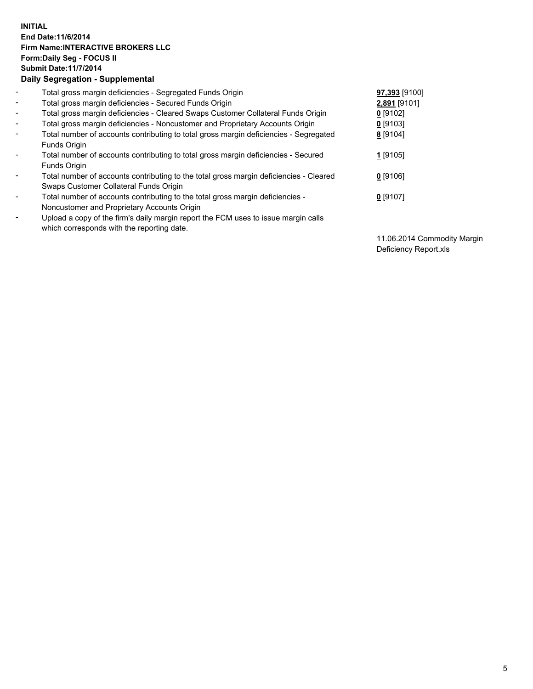## **INITIAL End Date:11/6/2014 Firm Name:INTERACTIVE BROKERS LLC Form:Daily Seg - FOCUS II Submit Date:11/7/2014 Daily Segregation - Supplemental**

| $\blacksquare$           | Total gross margin deficiencies - Segregated Funds Origin                              | 97,393 [9100] |
|--------------------------|----------------------------------------------------------------------------------------|---------------|
|                          |                                                                                        |               |
| $\blacksquare$           | Total gross margin deficiencies - Secured Funds Origin                                 | 2,891 [9101]  |
| $\blacksquare$           | Total gross margin deficiencies - Cleared Swaps Customer Collateral Funds Origin       | $0$ [9102]    |
| $\blacksquare$           | Total gross margin deficiencies - Noncustomer and Proprietary Accounts Origin          | $0$ [9103]    |
| $\blacksquare$           | Total number of accounts contributing to total gross margin deficiencies - Segregated  | 8 [9104]      |
|                          | Funds Origin                                                                           |               |
| $\overline{\phantom{a}}$ | Total number of accounts contributing to total gross margin deficiencies - Secured     | 1 [9105]      |
|                          | Funds Origin                                                                           |               |
| -                        | Total number of accounts contributing to the total gross margin deficiencies - Cleared | $0$ [9106]    |
|                          | Swaps Customer Collateral Funds Origin                                                 |               |
| ۰                        | Total number of accounts contributing to the total gross margin deficiencies -         | $0$ [9107]    |
|                          | Noncustomer and Proprietary Accounts Origin                                            |               |
| $\overline{\phantom{a}}$ | Upload a copy of the firm's daily margin report the FCM uses to issue margin calls     |               |
|                          | which corresponds with the reporting date.                                             |               |
|                          |                                                                                        |               |

11.06.2014 Commodity Margin Deficiency Report.xls